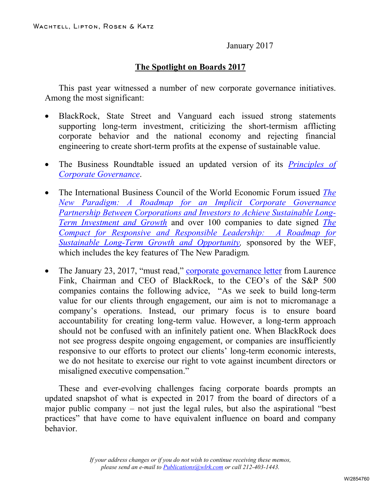January 2017

## **The Spotlight on Boards 2017**

This past year witnessed a number of new corporate governance initiatives. Among the most significant:

- BlackRock, State Street and Vanguard each issued strong statements supporting long-term investment, criticizing the short-termism afflicting corporate behavior and the national economy and rejecting financial engineering to create short-term profits at the expense of sustainable value.
- The Business Roundtable issued an updated version of its *[Principles of](http://www.wlrk.com/docs/PrinciplesofCorporateGovernance2016.pdf)  [Corporate Governance](http://www.wlrk.com/docs/PrinciplesofCorporateGovernance2016.pdf)*.
- The International Business Council of the World Economic Forum issued *[The](http://www.wlrk.com/docs/thenewparadigm.pdf)  [New Paradigm: A Roadmap for an Implicit Corporate Governance](http://www.wlrk.com/docs/thenewparadigm.pdf)  [Partnership Between Corporations and Investors to Achieve Sustainable Long-](http://www.wlrk.com/docs/thenewparadigm.pdf)[Term Investment and Growth](http://www.wlrk.com/docs/thenewparadigm.pdf)* and over 100 companies to date signed *[The](http://www.wlrk.com/docs/TheCompactforResponsiveResponsibleLeadershipasofNovember302016.pdf)  Compact for Responsive and Responsible [Leadership: A Roadmap for](http://www.wlrk.com/docs/TheCompactforResponsiveResponsibleLeadershipasofNovember302016.pdf)  Sustainable Long-Term Growth and Opportunity*, sponsored by the WEF, which includes the key features of The New Paradigm*.*
- The January 23, 2017, "must read," [corporate governance letter](http://www.wlrk.com/docs/AnnualCorporateGovernanceLetter.pdf) from Laurence Fink, Chairman and CEO of BlackRock, to the CEO's of the S&P 500 companies contains the following advice, "As we seek to build long-term value for our clients through engagement, our aim is not to micromanage a company's operations. Instead, our primary focus is to ensure board accountability for creating long-term value. However, a long-term approach should not be confused with an infinitely patient one. When BlackRock does not see progress despite ongoing engagement, or companies are insufficiently responsive to our efforts to protect our clients' long-term economic interests, we do not hesitate to exercise our right to vote against incumbent directors or misaligned executive compensation."

These and ever-evolving challenges facing corporate boards prompts an updated snapshot of what is expected in 2017 from the board of directors of a major public company – not just the legal rules, but also the aspirational "best practices" that have come to have equivalent influence on board and company behavior.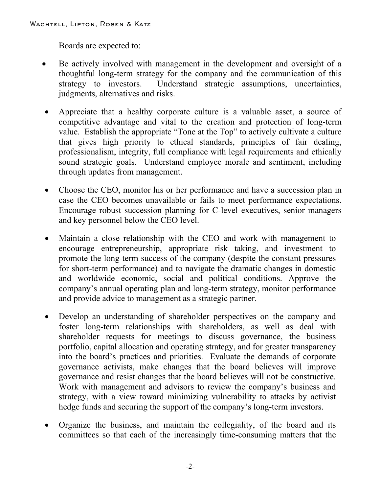Boards are expected to:

- Be actively involved with management in the development and oversight of a thoughtful long-term strategy for the company and the communication of this strategy to investors. Understand strategic assumptions, uncertainties, judgments, alternatives and risks.
- Appreciate that a healthy corporate culture is a valuable asset, a source of competitive advantage and vital to the creation and protection of long-term value. Establish the appropriate "Tone at the Top" to actively cultivate a culture that gives high priority to ethical standards, principles of fair dealing, professionalism, integrity, full compliance with legal requirements and ethically sound strategic goals. Understand employee morale and sentiment, including through updates from management.
- Choose the CEO, monitor his or her performance and have a succession plan in case the CEO becomes unavailable or fails to meet performance expectations. Encourage robust succession planning for C-level executives, senior managers and key personnel below the CEO level.
- Maintain a close relationship with the CEO and work with management to encourage entrepreneurship, appropriate risk taking, and investment to promote the long-term success of the company (despite the constant pressures for short-term performance) and to navigate the dramatic changes in domestic and worldwide economic, social and political conditions. Approve the company's annual operating plan and long-term strategy, monitor performance and provide advice to management as a strategic partner.
- Develop an understanding of shareholder perspectives on the company and foster long-term relationships with shareholders, as well as deal with shareholder requests for meetings to discuss governance, the business portfolio, capital allocation and operating strategy, and for greater transparency into the board's practices and priorities. Evaluate the demands of corporate governance activists, make changes that the board believes will improve governance and resist changes that the board believes will not be constructive. Work with management and advisors to review the company's business and strategy, with a view toward minimizing vulnerability to attacks by activist hedge funds and securing the support of the company's long-term investors.
- Organize the business, and maintain the collegiality, of the board and its committees so that each of the increasingly time-consuming matters that the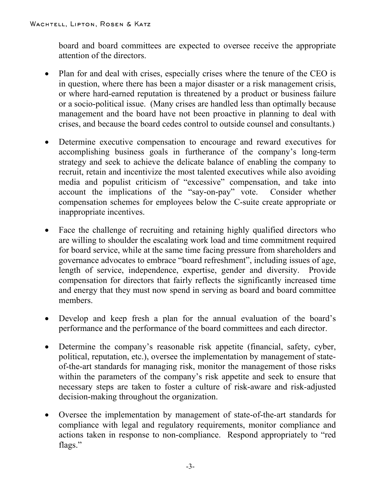board and board committees are expected to oversee receive the appropriate attention of the directors.

- Plan for and deal with crises, especially crises where the tenure of the CEO is in question, where there has been a major disaster or a risk management crisis, or where hard-earned reputation is threatened by a product or business failure or a socio-political issue. (Many crises are handled less than optimally because management and the board have not been proactive in planning to deal with crises, and because the board cedes control to outside counsel and consultants.)
- Determine executive compensation to encourage and reward executives for accomplishing business goals in furtherance of the company's long-term strategy and seek to achieve the delicate balance of enabling the company to recruit, retain and incentivize the most talented executives while also avoiding media and populist criticism of "excessive" compensation, and take into account the implications of the "say-on-pay" vote. Consider whether compensation schemes for employees below the C-suite create appropriate or inappropriate incentives.
- Face the challenge of recruiting and retaining highly qualified directors who are willing to shoulder the escalating work load and time commitment required for board service, while at the same time facing pressure from shareholders and governance advocates to embrace "board refreshment", including issues of age, length of service, independence, expertise, gender and diversity. Provide compensation for directors that fairly reflects the significantly increased time and energy that they must now spend in serving as board and board committee members.
- Develop and keep fresh a plan for the annual evaluation of the board's performance and the performance of the board committees and each director.
- Determine the company's reasonable risk appetite (financial, safety, cyber, political, reputation, etc.), oversee the implementation by management of stateof-the-art standards for managing risk, monitor the management of those risks within the parameters of the company's risk appetite and seek to ensure that necessary steps are taken to foster a culture of risk-aware and risk-adjusted decision-making throughout the organization.
- Oversee the implementation by management of state-of-the-art standards for compliance with legal and regulatory requirements, monitor compliance and actions taken in response to non-compliance. Respond appropriately to "red flags."